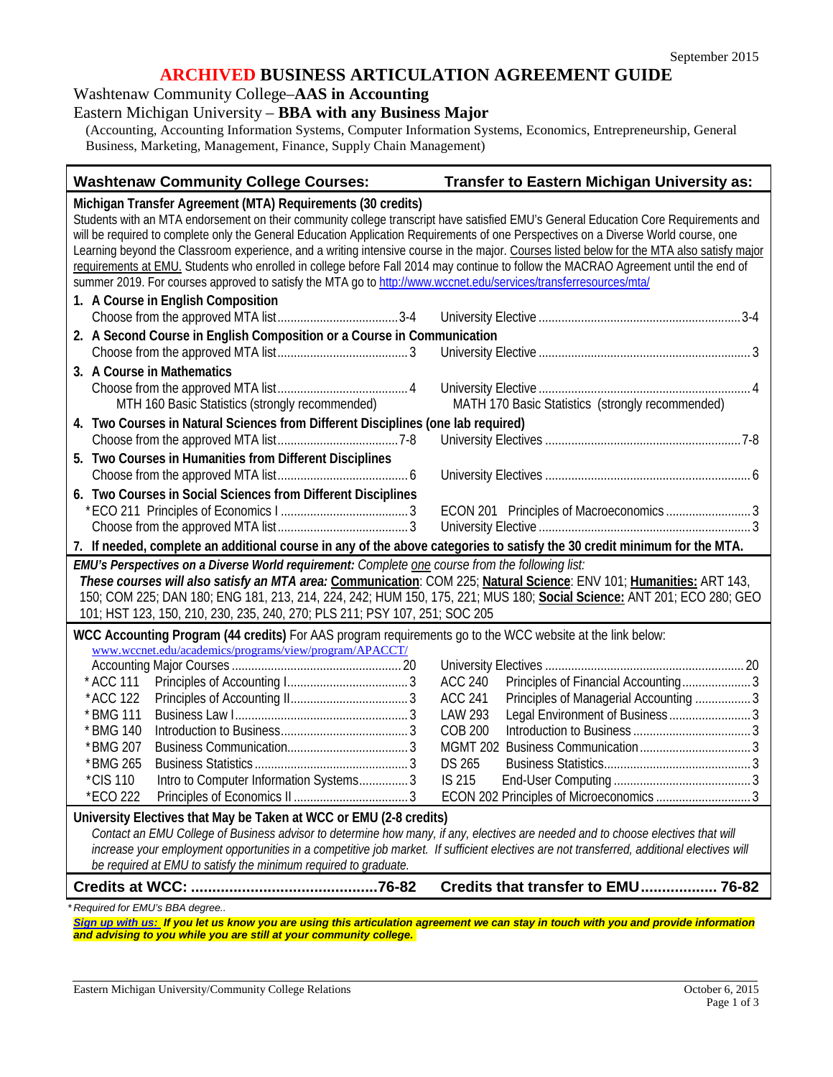#### **ARCHIVED BUSINESS ARTICULATION AGREEMENT GUIDE**

#### Washtenaw Community College–**AAS in Accounting**

## Eastern Michigan University – **BBA with any Business Major**

(Accounting, Accounting Information Systems, Computer Information Systems, Economics, Entrepreneurship, General Business, Marketing, Management, Finance, Supply Chain Management)

#### **Washtenaw Community College Courses: Transfer to Eastern Michigan University as:**

**Michigan Transfer Agreement (MTA) Requirements (30 credits)** Students with an MTA endorsement on their community college transcript have satisfied EMU's General Education Core Requirements and will be required to complete only the General Education Application Requirements of one Perspectives on a Diverse World course, one Learning beyond the Classroom experience, and a writing intensive course in the major. Courses listed below for the MTA also satisfy major requirements at EMU. Students who enrolled in college before Fall 2014 may continue to follow the MACRAO Agreement until the end of summer 2019. For courses approved to satisfy the MTA go to<http://www.wccnet.edu/services/transferresources/mta/> **1. A Course in English Composition** Choose from the approved MTA list.....................................3-4 University Elective ..............................................................3-4 **2. A Second Course in English Composition or a Course in Communication** Choose from the approved MTA list........................................ 3 University Elective ................................................................. 3 **3. A Course in Mathematics** Choose from the approved MTA list........................................ 4 University Elective ................................................................. 4 MTH 160 Basic Statistics (strongly recommended) MATH 170 Basic Statistics (strongly recommended) **4. Two Courses in Natural Sciences from Different Disciplines (one lab required)** Choose from the approved MTA list.....................................7-8 University Electives ............................................................7-8 **5. Two Courses in Humanities from Different Disciplines** Choose from the approved MTA list........................................ 6 University Electives ............................................................... 6 **6. Two Courses in Social Sciences from Different Disciplines** \*ECO 211 Principles of Economics I ....................................... 3 ECON 201 Principles of Macroeconomics .......................... 3 Choose from the approved MTA list........................................ 3 University Elective ................................................................. 3 **7. If needed, complete an additional course in any of the above categories to satisfy the 30 credit minimum for the MTA.** *EMU's Perspectives on a Diverse World requirement: Complete one course from the following list: These courses will also satisfy an MTA area:* **Communication**: COM 225; **Natural Science**: ENV 101; **Humanities:** ART 143, 150; COM 225; DAN 180; ENG 181, 213, 214, 224, 242; HUM 150, 175, 221; MUS 180; **Social Science:** ANT 201; ECO 280; GEO 101; HST 123, 150, 210, 230, 235, 240, 270; PLS 211; PSY 107, 251; SOC 205 **WCC Accounting Program (44 credits)** For AAS program requirements go to the WCC website at the link below: [www.wccnet.edu/academics/programs/view/program/APACCT/](http://www.wccnet.edu/academics/programs/view/program/APACCT/) Accounting Major Courses .................................................... 20 University Electives ............................................................. 20 \* ACC 111 Principles of Accounting I..................................... 3 ACC 240 Principles of Financial Accounting..................... 3 \*ACC 122 Principles of Accounting II.................................... 3 ACC 241 Principles of Managerial Accounting ................. 3 \* BMG 111 Business Law I..................................................... 3 LAW 293 Legal Environment of Business ......................... 3 \* BMG 140 Introduction to Business....................................... 3 COB 200 Introduction to Business .................................... 3 \*BMG 207 Business Communication..................................... 3 MGMT 202 Business Communication.................................. 3 \*BMG 265 Business Statistics ............................................... 3 DS 265 Business Statistics............................................. 3 \*CIS 110 Intro to Computer Information Systems............... 3 IS 215 End-User Computing .......................................... 3 \*ECO 222 Principles of Economics II ...................................3 ECON 202 Principles of Microeconomics ............................. 3 **University Electives that May be Taken at WCC or EMU (2-8 credits)** *Contact an EMU College of Business advisor to determine how many, if any, electives are needed and to choose electives that will*  increase your employment opportunities in a competitive job market. If sufficient electives are not transferred, additional electives will *be required at EMU to satisfy the minimum required to graduate.* **Credits at WCC: ............................................76-82 Credits that transfer to EMU.................. 76-82** *\* Required for EMU's BBA degree.. [Sign up with us:](https://www.emich.edu/ccr/articulation-agreements/signup.php) If you let us know you are using this articulation agreement we can stay in touch with you and provide information and advising to you while you are still at your community college.*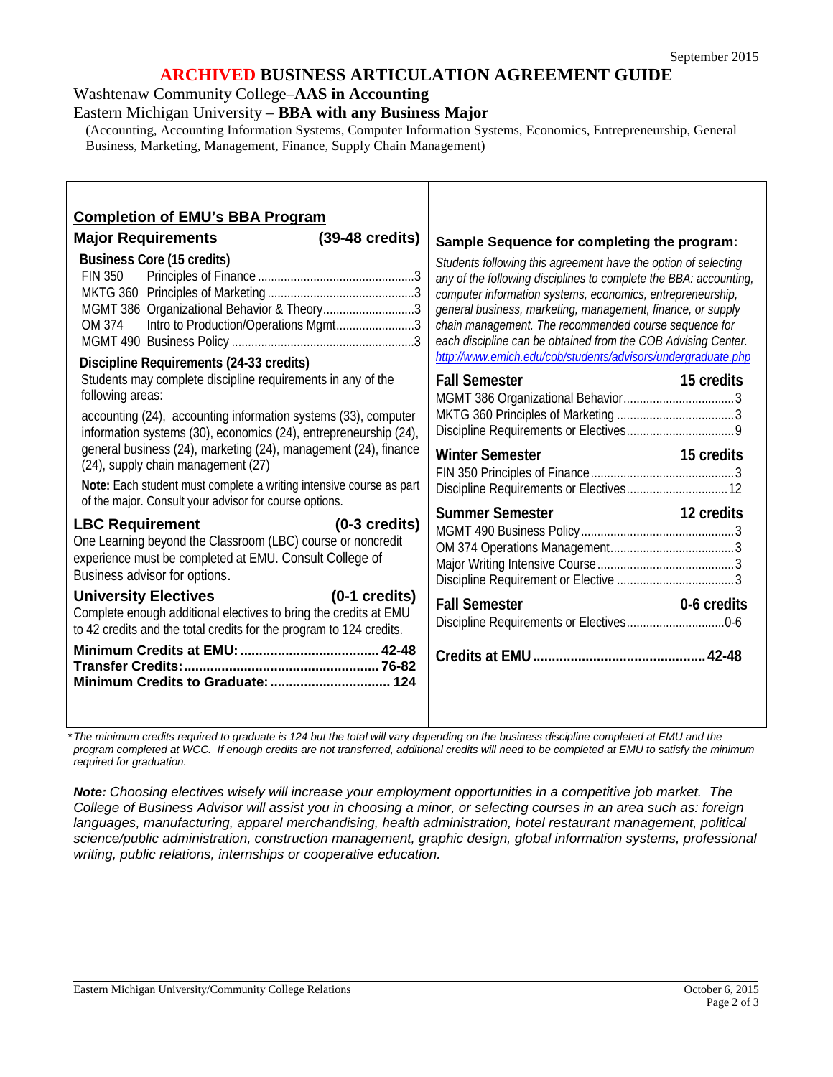## **ARCHIVED BUSINESS ARTICULATION AGREEMENT GUIDE**

Washtenaw Community College–**AAS in Accounting**

Eastern Michigan University – **BBA with any Business Major**

(Accounting, Accounting Information Systems, Computer Information Systems, Economics, Entrepreneurship, General Business, Marketing, Management, Finance, Supply Chain Management)

| <b>Completion of EMU's BBA Program</b>                                                                                                                                                                                                 |                                                                                                                                                                                                                                                                                                                                                                                                                                                            |
|----------------------------------------------------------------------------------------------------------------------------------------------------------------------------------------------------------------------------------------|------------------------------------------------------------------------------------------------------------------------------------------------------------------------------------------------------------------------------------------------------------------------------------------------------------------------------------------------------------------------------------------------------------------------------------------------------------|
| <b>Major Requirements</b><br>(39-48 credits)                                                                                                                                                                                           | Sample Sequence for completing the program:                                                                                                                                                                                                                                                                                                                                                                                                                |
| <b>Business Core (15 credits)</b><br><b>FIN 350</b><br>MGMT 386 Organizational Behavior & Theory3<br>Intro to Production/Operations Mgmt3<br>OM 374<br>Discipline Requirements (24-33 credits)                                         | Students following this agreement have the option of selecting<br>any of the following disciplines to complete the BBA: accounting,<br>computer information systems, economics, entrepreneurship,<br>general business, marketing, management, finance, or supply<br>chain management. The recommended course sequence for<br>each discipline can be obtained from the COB Advising Center.<br>http://www.emich.edu/cob/students/advisors/undergraduate.php |
| Students may complete discipline requirements in any of the<br>following areas:<br>accounting (24), accounting information systems (33), computer<br>information systems (30), economics (24), entrepreneurship (24),                  | <b>Fall Semester</b><br>15 credits                                                                                                                                                                                                                                                                                                                                                                                                                         |
| general business (24), marketing (24), management (24), finance<br>(24), supply chain management (27)<br>Note: Each student must complete a writing intensive course as part<br>of the major. Consult your advisor for course options. | <b>Winter Semester</b><br>15 credits                                                                                                                                                                                                                                                                                                                                                                                                                       |
| <b>LBC Requirement</b><br>$(0-3 \text{ credits})$<br>One Learning beyond the Classroom (LBC) course or noncredit<br>experience must be completed at EMU. Consult College of<br>Business advisor for options.                           | <b>Summer Semester</b><br>12 credits                                                                                                                                                                                                                                                                                                                                                                                                                       |
| <b>University Electives</b><br>$(0-1 \text{ credits})$<br>Complete enough additional electives to bring the credits at EMU<br>to 42 credits and the total credits for the program to 124 credits.                                      | <b>Fall Semester</b><br>0-6 credits                                                                                                                                                                                                                                                                                                                                                                                                                        |
| Minimum Credits to Graduate:  124                                                                                                                                                                                                      |                                                                                                                                                                                                                                                                                                                                                                                                                                                            |

*\*The minimum credits required to graduate is 124 but the total will vary depending on the business discipline completed at EMU and the*  program completed at WCC. If enough credits are not transferred, additional credits will need to be completed at EMU to satisfy the minimum *required for graduation.*

*Note: Choosing electives wisely will increase your employment opportunities in a competitive job market. The College of Business Advisor will assist you in choosing a minor, or selecting courses in an area such as: foreign languages, manufacturing, apparel merchandising, health administration, hotel restaurant management, political science/public administration, construction management, graphic design, global information systems, professional writing, public relations, internships or cooperative education.*